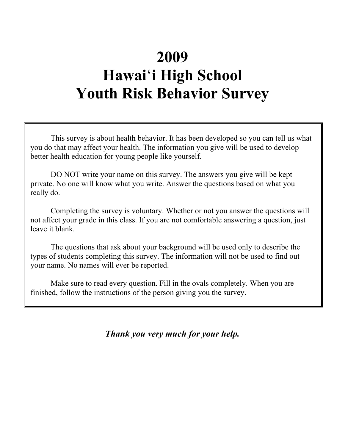# **2009 Hawai**'**i High School Youth Risk Behavior Survey**

This survey is about health behavior. It has been developed so you can tell us what you do that may affect your health. The information you give will be used to develop better health education for young people like yourself.

DO NOT write your name on this survey. The answers you give will be kept private. No one will know what you write. Answer the questions based on what you really do.

Completing the survey is voluntary. Whether or not you answer the questions will not affect your grade in this class. If you are not comfortable answering a question, just leave it blank.

The questions that ask about your background will be used only to describe the types of students completing this survey. The information will not be used to find out your name. No names will ever be reported.

Make sure to read every question. Fill in the ovals completely. When you are finished, follow the instructions of the person giving you the survey.

*Thank you very much for your help.*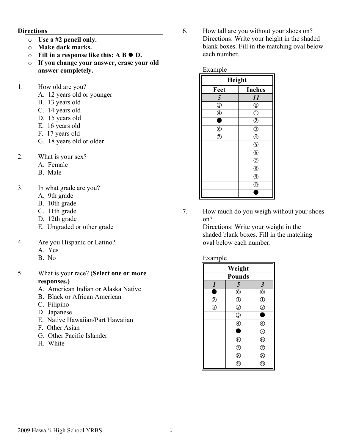#### **Directions**

- o **Use a #2 pencil only.**
- o **Make dark marks.**
- o **Fill in a response like this: A B D.**
- o **If you change your answer, erase your old answer completely.**
- 
- 1. How old are you?
	- A. 12 years old or younger
	- B. 13 years old
	- C. 14 years old
	- D. 15 years old
	- E. 16 years old
	- F. 17 years old
	- G. 18 years old or older
- 2. What is your sex?
	- A. Female
		- B. Male
- 3. In what grade are you?
	- A. 9th grade
	- B. 10th grade
	- C. 11th grade
	- D. 12th grade
	- E. Ungraded or other grade
- 4. Are you Hispanic or Latino?
	- A. Yes
	- B. No
- 5. What is your race? (**Select one or more responses.)**
	- A. American Indian or Alaska Native
	- B. Black or African American
	- C. Filipino
	- D. Japanese
	- E. Native Hawaiian/Part Hawaiian
	- F. Other Asian
	- G. Other Pacific Islander
	- H. White

6. How tall are you without your shoes on? Directions: Write your height in the shaded blank boxes. Fill in the matching oval below each number.

## Example **Height Feet Inches** *5 11*  $\circledcirc$   $\circ$  $\circled{4}$  0  $\bullet$  0  $\circ$   $\circ$   $\circ$  $\circledcirc$  (4)  $\overline{S}$  $\overline{6}$  $\circledR$  $\circledR$  $\overline{(\mathcal{D})}$  $\overline{0}$  $\overline{\bullet}$

7. How much do you weigh without your shoes on?

> Directions: Write your weight in the shaded blank boxes. Fill in the matching oval below each number.

#### Example

| Weight                                                              |                          |                       |
|---------------------------------------------------------------------|--------------------------|-----------------------|
| <b>Pounds</b>                                                       |                          |                       |
| $\boldsymbol{l}$                                                    | 5                        | $\boldsymbol{\beta}$  |
| ۸                                                                   | $^{\circ}$               |                       |
| $\frac{\textcircled{\scriptsize{0}}}{\textcircled{\scriptsize{1}}}$ | $\overline{\mathbb{O}}$  | $\frac{\odot}{\odot}$ |
|                                                                     | $\overline{c}$           |                       |
|                                                                     | $\overline{\mathbb{G}}$  |                       |
|                                                                     | $\widehat{4}$            | C                     |
|                                                                     | ٠                        | $\bar{\odot}$         |
|                                                                     | $\underline{\mathbb{G}}$ | $\circledcirc$        |
|                                                                     | $\overline{C}$           | $\overline{C}$        |
|                                                                     | $\overline{\circ}$       | $\overline{\circ}$    |
|                                                                     |                          | g                     |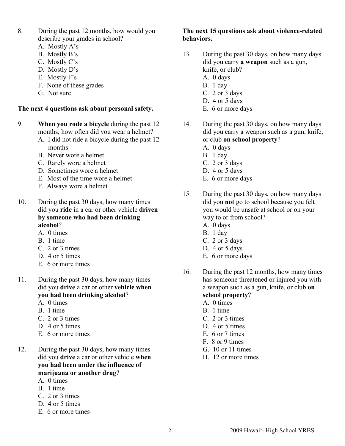- 8. During the past 12 months, how would you describe your grades in school?
	- A. Mostly A's
	- B. Mostly B's
	- C. Mostly C's
	- D. Mostly D's
	- E. Mostly F's
	- F. None of these grades
	- G. Not sure

#### **The next 4 questions ask about personal safety.**

- 9. **When you rode a bicycle** during the past 12 months, how often did you wear a helmet?
	- A. I did not ride a bicycle during the past 12 months
	- B. Never wore a helmet
	- C. Rarely wore a helmet
	- D. Sometimes wore a helmet
	- E. Most of the time wore a helmet
	- F. Always wore a helmet
- 10. During the past 30 days, how many times did you **ride** in a car or other vehicle **driven by someone who had been drinking alcohol**?
	- A. 0 times
	- B. 1 time
	- C. 2 or 3 times
	- D. 4 or 5 times
	- E. 6 or more times
- 11. During the past 30 days, how many times did you **drive** a car or other **vehicle when you had been drinking alcohol**?
	- A. 0 times
	- B. 1 time
	- C. 2 or 3 times
	- D. 4 or 5 times
	- E. 6 or more times
- 12. During the past 30 days, how many times did you **drive** a car or other vehicle **when you had been under the influence of marijuana or another drug**?
	- A. 0 times
	- B. 1 time
	- C. 2 or 3 times
	- D. 4 or 5 times
	- E. 6 or more times

#### **The next 15 questions ask about violence-related behaviors.**

- 13. During the past 30 days, on how many days did you carry **a weapon** such as a gun, knife, or club?
	- A. 0 days
	- B. 1 day
	- C. 2 or 3 days
	- D. 4 or 5 days
	- E. 6 or more days
- 14. During the past 30 days, on how many days did you carry a weapon such as a gun, knife, or club **on school property**?
	- A. 0 days
	- B. 1 day
	- C. 2 or 3 days
	- D. 4 or 5 days
	- E. 6 or more days
- 15. During the past 30 days, on how many days did you **not** go to school because you felt you would be unsafe at school or on your way to or from school?
	- A. 0 days
	- B. 1 day
	- C. 2 or 3 days
	- D. 4 or 5 days
	- E. 6 or more days
- 16. During the past 12 months, how many times has someone threatened or injured you with a weapon such as a gun, knife, or club **on school property**?
	- A. 0 times
	- B. 1 time
	- C. 2 or 3 times
	- D. 4 or 5 times
	- E. 6 or 7 times
	- F. 8 or 9 times
	- G. 10 or 11 times
	- H. 12 or more times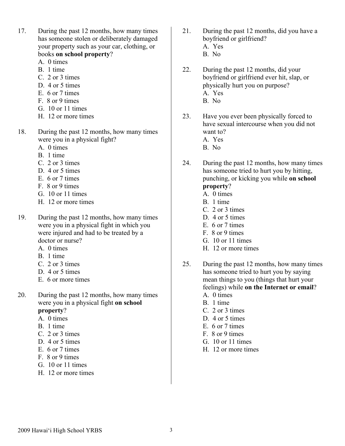- 17. During the past 12 months, how many times has someone stolen or deliberately damaged your property such as your car, clothing, or books **on school property**?
	- A. 0 times
	- B. 1 time
	- C. 2 or 3 times
	- D. 4 or 5 times
	- E. 6 or 7 times
	- F. 8 or 9 times
	- G. 10 or 11 times
	- H. 12 or more times
- 18. During the past 12 months, how many times were you in a physical fight?
	- A. 0 times
	- B. 1 time
	- C. 2 or 3 times
	- D. 4 or 5 times
	- E. 6 or 7 times
	- F. 8 or 9 times
	- G. 10 or 11 times
	- H. 12 or more times
- 19. During the past 12 months, how many times were you in a physical fight in which you were injured and had to be treated by a doctor or nurse?
	- A. 0 times
	- B. 1 time
	- C. 2 or 3 times
	- D. 4 or 5 times
	- E. 6 or more times
- 20. During the past 12 months, how many times were you in a physical fight **on school property**?
	- A. 0 times
	- B. 1 time
	- C. 2 or 3 times
	- D. 4 or 5 times
	- E. 6 or 7 times
	- F. 8 or 9 times
	- G. 10 or 11 times
	- H. 12 or more times
- 21. During the past 12 months, did you have a boyfriend or girlfriend?
	- A. Yes
	- B. No
- 22. During the past 12 months, did your boyfriend or girlfriend ever hit, slap, or physically hurt you on purpose? A. Yes
	- B. No
- 23. Have you ever been physically forced to have sexual intercourse when you did not want to?
	- A. Yes
	- B. No
- 24. During the past 12 months, how many times has someone tried to hurt you by hitting, punching, or kicking you while **on school**

## **property**?

- A. 0 times
- B. 1 time
- C. 2 or 3 times
- D. 4 or 5 times
- E. 6 or 7 times
- F. 8 or 9 times
- G. 10 or 11 times
- H. 12 or more times
- 25. During the past 12 months, how many times has someone tried to hurt you by saying mean things to you (things that hurt your feelings) while **on the Internet or email**? A. 0 times
	- B. 1 time
	- C. 2 or 3 times
	- D. 4 or 5 times
	- E. 6 or 7 times
	- F. 8 or 9 times
	- G. 10 or 11 times
	- H. 12 or more times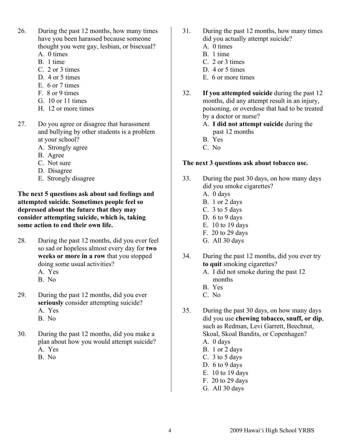- 26. During the past 12 months, how many times have you been harassed because someone thought you were gay, lesbian, or bisexual? A. 0 times
	- B. 1 time
	- C. 2 or 3 times
	- D. 4 or 5 times
	- E. 6 or 7 times
	- F. 8 or 9 times
	- G. 10 or 11 times
	- H. 12 or more times
- 27. Do you agree or disagree that harassment and bullying by other students is a problem at your school?
	- A. Strongly agree
	- B. Agree
	- C. Not sure
	- D. Disagree
	- E. Strongly disagree

**The next 5 questions ask about sad feelings and attempted suicide. Sometimes people feel so depressed about the future that they may consider attempting suicide, which is, taking some action to end their own life.**

- 28. During the past 12 months, did you ever feel so sad or hopeless almost every day for **two weeks or more in a row** that you stopped doing some usual activities?
	- A. Yes
	- B. No
- 29. During the past 12 months, did you ever **seriously** consider attempting suicide? A. Yes B. No
- 30. During the past 12 months, did you make a plan about how you would attempt suicide? A. Yes
	- B. No
- 31. During the past 12 months, how many times did you actually attempt suicide?
	- A. 0 times
	- B. 1 time
	- C. 2 or 3 times
	- D. 4 or 5 times
	- E. 6 or more times
- 32. **If you attempted suicide** during the past 12 months, did any attempt result in an injury, poisoning, or overdose that had to be treated by a doctor or nurse?
	- A. **I did not attempt suicide** during the past 12 months
	- B. Yes
	- C. No

#### **The next 3 questions ask about tobacco use.**

- 33. During the past 30 days, on how many days did you smoke cigarettes?
	- A. 0 days
	- B. 1 or 2 days
	- C. 3 to 5 days
	- D. 6 to 9 days
	- E. 10 to 19 days
	- F. 20 to 29 days
	- G. All 30 days
- 34. During the past 12 months, did you ever try **to quit** smoking cigarettes?
	- A. I did not smoke during the past 12 months
	- B. Yes
	- C. No
- 35. During the past 30 days, on how many days did you use **chewing tobacco, snuff, or dip**, such as Redman, Levi Garrett, Beechnut, Skoal, Skoal Bandits, or Copenhagen? A. 0 days
	- B. 1 or 2 days
	- C. 3 to 5 days
	- D. 6 to 9 days
	- E. 10 to 19 days
	- F. 20 to 29 days
	-
	- G. All 30 days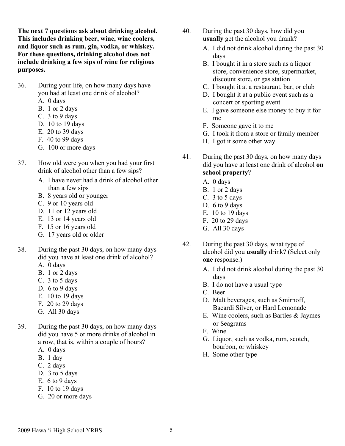**The next 7 questions ask about drinking alcohol. This includes drinking beer, wine, wine coolers, and liquor such as rum, gin, vodka, or whiskey. For these questions, drinking alcohol does not include drinking a few sips of wine for religious purposes.**

- 36. During your life, on how many days have you had at least one drink of alcohol?
	- A. 0 days
	- B. 1 or 2 days
	- C. 3 to 9 days
	- D. 10 to 19 days
	- E. 20 to 39 days
	- F. 40 to 99 days
	- G. 100 or more days
- 37. How old were you when you had your first drink of alcohol other than a few sips?
	- A. I have never had a drink of alcohol other than a few sips
	- B. 8 years old or younger
	- C. 9 or 10 years old
	- D. 11 or 12 years old
	- E. 13 or 14 years old
	- F. 15 or 16 years old
	- G. 17 years old or older
- 38. During the past 30 days, on how many days did you have at least one drink of alcohol?
	- A. 0 days
	- B. 1 or 2 days
	- C. 3 to 5 days
	- D. 6 to 9 days
	- E. 10 to 19 days
	- F. 20 to 29 days
	- G. All 30 days
- 39. During the past 30 days, on how many days did you have 5 or more drinks of alcohol in a row, that is, within a couple of hours?
	- A. 0 days
	- B. 1 day
	- C. 2 days
	- D. 3 to 5 days
	- E. 6 to 9 days
	- F. 10 to 19 days
	- G. 20 or more days
- 40. During the past 30 days, how did you **usually** get the alcohol you drank?
	- A. I did not drink alcohol during the past 30 days
	- B. I bought it in a store such as a liquor store, convenience store, supermarket, discount store, or gas station
	- C. I bought it at a restaurant, bar, or club
	- D. I bought it at a public event such as a concert or sporting event
	- E. I gave someone else money to buy it for me
	- F. Someone gave it to me
	- G. I took it from a store or family member
	- H. I got it some other way
- 41. During the past 30 days, on how many days did you have at least one drink of alcohol **on school property**?
	- A. 0 days
	- B. 1 or 2 days
	- C. 3 to 5 days
	- D. 6 to 9 days
	- E. 10 to 19 days
	- F. 20 to 29 days
	- G. All 30 days
- 42. During the past 30 days, what type of alcohol did you **usually** drink? (Select only **one** response.)
	- A. I did not drink alcohol during the past 30 days
	- B. I do not have a usual type
	- C. Beer
	- D. Malt beverages, such as Smirnoff, Bacardi Silver, or Hard Lemonade
	- E. Wine coolers, such as Bartles & Jaymes or Seagrams
	- F. Wine
	- G. Liquor, such as vodka, rum, scotch, bourbon, or whiskey
	- H. Some other type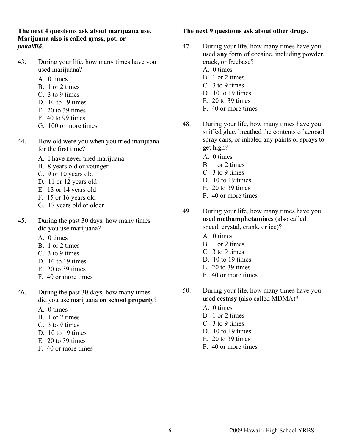**The next 4 questions ask about marijuana use. Marijuana also is called grass, pot, or** *pakalōlō.*

- 43. During your life, how many times have you used marijuana?
	- A. 0 times
	- B. 1 or 2 times
	- C. 3 to 9 times
	- D. 10 to 19 times
	- $E$  20 to 39 times
	- F. 40 to 99 times
	- G. 100 or more times
- 44. How old were you when you tried marijuana for the first time?
	- A. I have never tried marijuana
	- B. 8 years old or younger
	- C. 9 or 10 years old
	- D. 11 or 12 years old
	- E. 13 or 14 years old
	- F. 15 or 16 years old
	- G. 17 years old or older
- 45. During the past 30 days, how many times did you use marijuana?
	- A. 0 times
	- B. 1 or 2 times
	- C. 3 to 9 times
	- D 10 to 19 times
	- $E$  20 to 39 times
	- F. 40 or more times
- 46. During the past 30 days, how many times did you use marijuana **on school property**?
	- A. 0 times
	- B. 1 or 2 times
	- C. 3 to 9 times
	- D. 10 to 19 times
	- $E$  20 to 39 times
	- F. 40 or more times

#### **The next 9 questions ask about other drugs.**

- 47. During your life, how many times have you used **any** form of cocaine, including powder, crack, or freebase?
	- A. 0 times
	- B. 1 or 2 times
	- C. 3 to 9 times
	- D. 10 to 19 times
	- E  $20$  to 39 times
	- F. 40 or more times
- 48. During your life, how many times have you sniffed glue, breathed the contents of aerosol spray cans, or inhaled any paints or sprays to get high?
	- A. 0 times
	- B. 1 or 2 times
	- C. 3 to 9 times
	- D. 10 to 19 times
	- E. 20 to 39 times
	- F. 40 or more times
- 49. During your life, how many times have you used **methamphetamines** (also called speed, crystal, crank, or ice)?
	- A. 0 times
	- B. 1 or 2 times
	- C. 3 to 9 times
	- D. 10 to 19 times
	- E. 20 to 39 times
	- F. 40 or more times
- 50. During your life, how many times have you used **ecstasy** (also called MDMA)?
	- A. 0 times
	- B. 1 or 2 times
	- C. 3 to 9 times
	- D. 10 to 19 times
	- E. 20 to 39 times
	- F. 40 or more times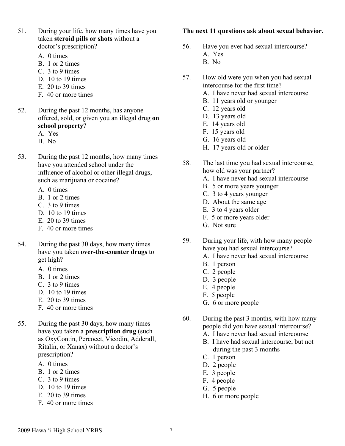- 51. During your life, how many times have you taken **steroid pills or shots** without a doctor's prescription?
	- A. 0 times
	- B. 1 or 2 times
	- C. 3 to 9 times
	- D. 10 to 19 times
	- E. 20 to 39 times
	- F. 40 or more times
- 52. During the past 12 months, has anyone offered, sold, or given you an illegal drug **on school property**?
	- A. Yes
	- B. No
- 53. During the past 12 months, how many times have you attended school under the influence of alcohol or other illegal drugs, such as marijuana or cocaine?
	- A. 0 times
	- B. 1 or 2 times
	- C. 3 to 9 times
	- D. 10 to 19 times
	- E. 20 to 39 times
	- F. 40 or more times
- 54. During the past 30 days, how many times have you taken **over-the-counter drugs** to get high?
	- A. 0 times
	- B. 1 or 2 times
	- C. 3 to 9 times
	- D. 10 to 19 times
	- E. 20 to 39 times
	- F. 40 or more times
- 55. During the past 30 days, how many times have you taken a **prescription drug** (such as OxyContin, Percocet, Vicodin, Adderall, Ritalin, or Xanax) without a doctor's prescription?
	- A. 0 times
	- B. 1 or 2 times
	- C. 3 to 9 times
	- D. 10 to 19 times
	- E. 20 to 39 times
	- F. 40 or more times

#### **The next 11 questions ask about sexual behavior.**

- 56. Have you ever had sexual intercourse? A. Yes
	- B. No
- 57. How old were you when you had sexual intercourse for the first time?
	- A. I have never had sexual intercourse
	- B. 11 years old or younger
	- C. 12 years old
	- D. 13 years old
	- E. 14 years old
	- F. 15 years old
	- G. 16 years old
	- H. 17 years old or older
- 58. The last time you had sexual intercourse, how old was your partner?
	- A. I have never had sexual intercourse
	- B. 5 or more years younger
	- C. 3 to 4 years younger
	- D. About the same age
	- E. 3 to 4 years older
	- F. 5 or more years older
	- G. Not sure
- 59. During your life, with how many people have you had sexual intercourse?
	- A. I have never had sexual intercourse
	- B. 1 person
	- C. 2 people
	- D. 3 people
	- E. 4 people
	- F. 5 people
	- G. 6 or more people
- 60. During the past 3 months, with how many people did you have sexual intercourse?
	- A. I have never had sexual intercourse
	- B. I have had sexual intercourse, but not during the past 3 months
	- C. 1 person
	- D. 2 people
	- E. 3 people
	- F. 4 people
	- G. 5 people
	- H. 6 or more people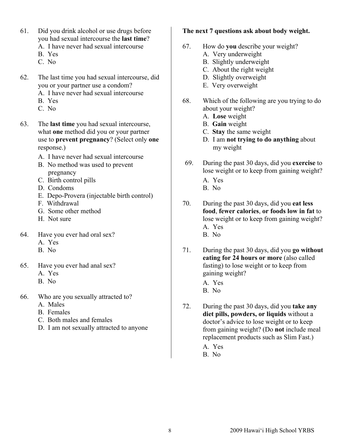- 61. Did you drink alcohol or use drugs before you had sexual intercourse the **last time**?
	- A. I have never had sexual intercourse
	- B. Yes
	- C. No
- 62. The last time you had sexual intercourse, did you or your partner use a condom?
	- A. I have never had sexual intercourse
	- B. Yes
	- C. No
- 63. The **last time** you had sexual intercourse, what **one** method did you or your partner use to **prevent pregnancy**? (Select only **one** response.)
	- A. I have never had sexual intercourse
	- B. No method was used to prevent pregnancy
	- C. Birth control pills
	- D. Condoms
	- E. Depo-Provera (injectable birth control)
	- F. Withdrawal
	- G. Some other method
	- H. Not sure
- 64. Have you ever had oral sex?
	- A. Yes
	- B. No
- 65. Have you ever had anal sex?
	- A. Yes
	- B. No
- 66. Who are you sexually attracted to?
	- A. Males
	- B. Females
	- C. Both males and females
	- D. I am not sexually attracted to anyone

#### **The next 7 questions ask about body weight.**

- 67. How do **you** describe your weight?
	- A. Very underweight
	- B. Slightly underweight
	- C. About the right weight
	- D. Slightly overweight
	- E. Very overweight
- 68. Which of the following are you trying to do about your weight?
	- A. **Lose** weight
	- B. **Gain** weight
	- C. **Stay** the same weight
	- D. I am **not trying to do anything** about my weight
- 69. During the past 30 days, did you **exercise** to lose weight or to keep from gaining weight?
	- A. Yes
	- B. No
- 70. During the past 30 days, did you **eat less food**, **fewer calories**, **or foods low in fat** to lose weight or to keep from gaining weight? A. Yes B. No
- 71. During the past 30 days, did you **go without eating for 24 hours or more** (also called fasting) to lose weight or to keep from gaining weight?
	- A. Yes
	- B. No
- 72. During the past 30 days, did you **take any diet pills, powders, or liquids** without a doctor's advice to lose weight or to keep from gaining weight? (Do **not** include meal replacement products such as Slim Fast.)
	- A. Yes
	- B. No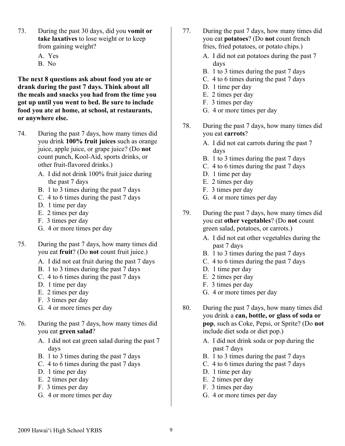- 73. During the past 30 days, did you **vomit or take laxatives** to lose weight or to keep from gaining weight?
	- A. Yes
	- B. No

**The next 8 questions ask about food you ate or drank during the past 7 days. Think about all the meals and snacks you had from the time you got up until you went to bed. Be sure to include food you ate at home, at school, at restaurants, or anywhere else.**

- 74. During the past 7 days, how many times did you drink **100% fruit juices** such as orange juice, apple juice, or grape juice? (Do **not** count punch, Kool-Aid, sports drinks, or other fruit-flavored drinks.)
	- A. I did not drink 100% fruit juice during the past 7 days
	- B. 1 to 3 times during the past 7 days
	- C. 4 to 6 times during the past 7 days
	- D. 1 time per day
	- E. 2 times per day
	- F. 3 times per day
	- G. 4 or more times per day
- 75. During the past 7 days, how many times did you eat **fruit**? (Do **not** count fruit juice.)
	- A. I did not eat fruit during the past 7 days
	- B. 1 to 3 times during the past 7 days
	- C. 4 to 6 times during the past 7 days
	- D. 1 time per day
	- E. 2 times per day
	- F. 3 times per day
	- G. 4 or more times per day
- 76. During the past 7 days, how many times did you eat **green salad**?
	- A. I did not eat green salad during the past 7 days
	- B. 1 to 3 times during the past 7 days
	- C. 4 to 6 times during the past 7 days
	- D. 1 time per day
	- E. 2 times per day
	- F. 3 times per day
	- G. 4 or more times per day
- 77. During the past 7 days, how many times did you eat **potatoes**? (Do **not** count french fries, fried potatoes, or potato chips.)
	- A. I did not eat potatoes during the past 7 days
	- B. 1 to 3 times during the past 7 days
	- C. 4 to 6 times during the past 7 days
	- D. 1 time per day
	- E. 2 times per day
	- F. 3 times per day
	- G. 4 or more times per day
- 78. During the past 7 days, how many times did you eat **carrots**?
	- A. I did not eat carrots during the past 7 days
	- B. 1 to 3 times during the past 7 days
	- C. 4 to 6 times during the past 7 days
	- D. 1 time per day
	- E. 2 times per day
	- F. 3 times per day
	- G. 4 or more times per day
- 79. During the past 7 days, how many times did you eat **other vegetables**? (Do **not** count green salad, potatoes, or carrots.)
	- A. I did not eat other vegetables during the past 7 days
	- B. 1 to 3 times during the past 7 days
	- C. 4 to 6 times during the past 7 days
	- D. 1 time per day
	- E. 2 times per day
	- F. 3 times per day
	- G. 4 or more times per day
- 80. During the past 7 days, how many times did you drink a **can, bottle, or glass of soda or pop**, such as Coke, Pepsi, or Sprite? (Do **not**  include diet soda or diet pop.)
	- A. I did not drink soda or pop during the past 7 days
	- B. 1 to 3 times during the past 7 days
	- C. 4 to 6 times during the past 7 days
	- D. 1 time per day
	- E. 2 times per day
	- F. 3 times per day
	- G. 4 or more times per day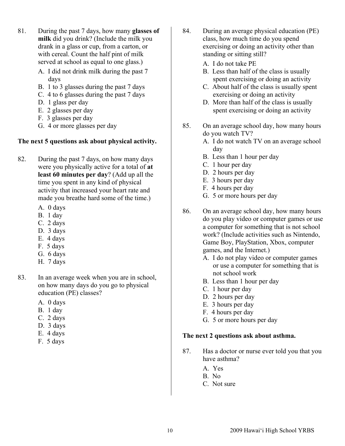- 81. During the past 7 days, how many **glasses of milk** did you drink? (Include the milk you drank in a glass or cup, from a carton, or with cereal. Count the half pint of milk served at school as equal to one glass.)
	- A. I did not drink milk during the past 7 days
	- B. 1 to 3 glasses during the past 7 days
	- C. 4 to 6 glasses during the past 7 days
	- D. 1 glass per day
	- E. 2 glasses per day
	- F. 3 glasses per day
	- G. 4 or more glasses per day

## **The next 5 questions ask about physical activity.**

- 82. During the past 7 days, on how many days were you physically active for a total of **at least 60 minutes per day**? (Add up all the time you spent in any kind of physical activity that increased your heart rate and made you breathe hard some of the time.)
	- A. 0 days
	- B. 1 day
	- C. 2 days
	- D. 3 days
	- E. 4 days
	- F. 5 days
	- G. 6 days
	- H. 7 days
- 83. In an average week when you are in school, on how many days do you go to physical education (PE) classes?
	- A. 0 days
	- B. 1 day
	- C. 2 days
	- D. 3 days
	- E. 4 days
	- F. 5 days
- 84. During an average physical education (PE) class, how much time do you spend exercising or doing an activity other than standing or sitting still?
	- A. I do not take PE
	- B. Less than half of the class is usually spent exercising or doing an activity
	- C. About half of the class is usually spent exercising or doing an activity
	- D. More than half of the class is usually spent exercising or doing an activity
- 85. On an average school day, how many hours do you watch TV?
	- A. I do not watch TV on an average school day
	- B. Less than 1 hour per day
	- C. 1 hour per day
	- D. 2 hours per day
	- E. 3 hours per day
	- F. 4 hours per day
	- G. 5 or more hours per day
- 86. On an average school day, how many hours do you play video or computer games or use a computer for something that is not school work? (Include activities such as Nintendo, Game Boy, PlayStation, Xbox, computer games, and the Internet.)
	- A. I do not play video or computer games or use a computer for something that is not school work
	- B. Less than 1 hour per day
	- C. 1 hour per day
	- D. 2 hours per day
	- E. 3 hours per day
	- F. 4 hours per day
	- G. 5 or more hours per day

#### **The next 2 questions ask about asthma.**

- 87. Has a doctor or nurse ever told you that you have asthma?
	- A. Yes
	- B. No
	- C. Not sure